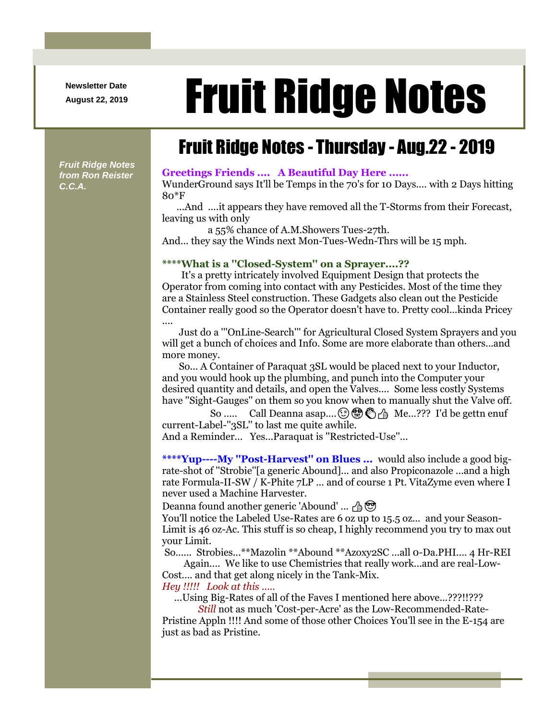**Newsletter Date**

# August 22, 2019 **Fruit Ridge Notes**

## Fruit Ridge Notes - Thursday - Aug.22 - 2019

*Fruit Ridge Notes from Ron Reister C.C.A.*

### **Greetings Friends .... A Beautiful Day Here ......**

WunderGround says It'll be Temps in the 70's for 10 Days.... with 2 Days hitting 80\*F

...And ....it appears they have removed all the T-Storms from their Forecast, leaving us with only

a 55% chance of A.M.Showers Tues-27th.

And... they say the Winds next Mon-Tues-Wedn-Thrs will be 15 mph.

#### **\*\*\*\*What is a ''Closed-System'' on a Sprayer....??**

It's a pretty intricately involved Equipment Design that protects the Operator from coming into contact with any Pesticides. Most of the time they are a Stainless Steel construction. These Gadgets also clean out the Pesticide Container really good so the Operator doesn't have to. Pretty cool...kinda Pricey ....

Just do a '''OnLine-Search''' for Agricultural Closed System Sprayers and you will get a bunch of choices and Info. Some are more elaborate than others...and more money.

So... A Container of Paraquat 3SL would be placed next to your Inductor, and you would hook up the plumbing, and punch into the Computer your desired quantity and details, and open the Valves.... Some less costly Systems have ''Sight-Gauges'' on them so you know when to manually shut the Valve off.

So ..... Call Deanna asap.... **(3)**  $\bullet$   $\bullet$   $\bullet$  Me...??? I'd be gettn enuf current-Label-''3SL'' to last me quite awhile.

And a Reminder... Yes...Paraquat is ''Restricted-Use''...

**\*\*\*\*Yup----My ''Post-Harvest'' on Blues ...** would also include a good bigrate-shot of ''Strobie''[a generic Abound]... and also Propiconazole ...and a high rate Formula-II-SW / K-Phite 7LP ... and of course 1 Pt. VitaZyme even where I never used a Machine Harvester.

Deanna found another generic 'Abound' ...  $\oplus$ 

You'll notice the Labeled Use-Rates are 6 oz up to 15.5 oz... and your Season-Limit is 46 oz-Ac. This stuff is so cheap, I highly recommend you try to max out your Limit.

So...... Strobies...\*\*Mazolin \*\*Abound \*\*Azoxy2SC ...all 0-Da.PHI.... 4 Hr-REI

Again.... We like to use Chemistries that really work...and are real-Low-Cost.... and that get along nicely in the Tank-Mix.

*Hey !!!!! Look at this .....*

...Using Big-Rates of all of the Faves I mentioned here above...???!!???

*Still* not as much 'Cost-per-Acre' as the Low-Recommended-Rate-Pristine Appln !!!! And some of those other Choices You'll see in the E-154 are just as bad as Pristine.